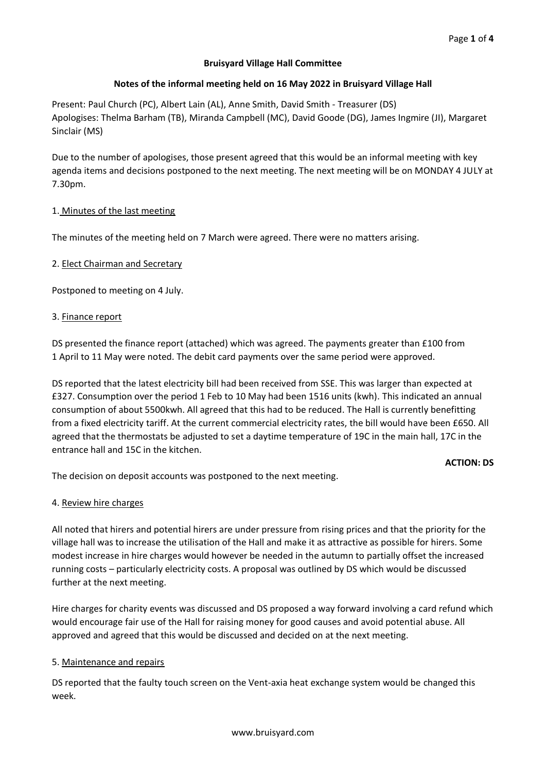### **Bruisyard Village Hall Committee**

### **Notes of the informal meeting held on 16 May 2022 in Bruisyard Village Hall**

Present: Paul Church (PC), Albert Lain (AL), Anne Smith, David Smith - Treasurer (DS) Apologises: Thelma Barham (TB), Miranda Campbell (MC), David Goode (DG), James Ingmire (JI), Margaret Sinclair (MS)

Due to the number of apologises, those present agreed that this would be an informal meeting with key agenda items and decisions postponed to the next meeting. The next meeting will be on MONDAY 4 JULY at 7.30pm.

### 1. Minutes of the last meeting

The minutes of the meeting held on 7 March were agreed. There were no matters arising.

## 2. Elect Chairman and Secretary

Postponed to meeting on 4 July.

### 3. Finance report

DS presented the finance report (attached) which was agreed. The payments greater than £100 from 1 April to 11 May were noted. The debit card payments over the same period were approved.

DS reported that the latest electricity bill had been received from SSE. This was larger than expected at £327. Consumption over the period 1 Feb to 10 May had been 1516 units (kwh). This indicated an annual consumption of about 5500kwh. All agreed that this had to be reduced. The Hall is currently benefitting from a fixed electricity tariff. At the current commercial electricity rates, the bill would have been £650. All agreed that the thermostats be adjusted to set a daytime temperature of 19C in the main hall, 17C in the entrance hall and 15C in the kitchen.

### **ACTION: DS**

The decision on deposit accounts was postponed to the next meeting.

### 4. Review hire charges

All noted that hirers and potential hirers are under pressure from rising prices and that the priority for the village hall was to increase the utilisation of the Hall and make it as attractive as possible for hirers. Some modest increase in hire charges would however be needed in the autumn to partially offset the increased running costs – particularly electricity costs. A proposal was outlined by DS which would be discussed further at the next meeting.

Hire charges for charity events was discussed and DS proposed a way forward involving a card refund which would encourage fair use of the Hall for raising money for good causes and avoid potential abuse. All approved and agreed that this would be discussed and decided on at the next meeting.

### 5. Maintenance and repairs

DS reported that the faulty touch screen on the Vent-axia heat exchange system would be changed this week.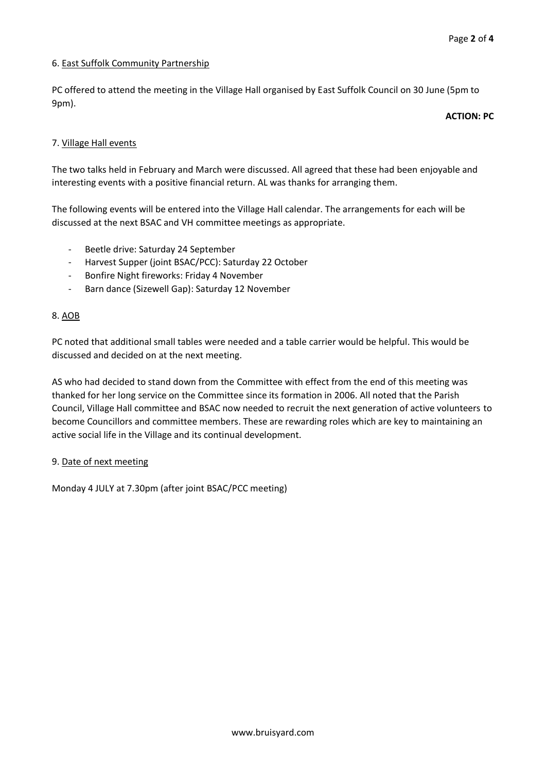#### 6. East Suffolk Community Partnership

PC offered to attend the meeting in the Village Hall organised by East Suffolk Council on 30 June (5pm to 9pm).

#### **ACTION: PC**

### 7. Village Hall events

The two talks held in February and March were discussed. All agreed that these had been enjoyable and interesting events with a positive financial return. AL was thanks for arranging them.

The following events will be entered into the Village Hall calendar. The arrangements for each will be discussed at the next BSAC and VH committee meetings as appropriate.

- Beetle drive: Saturday 24 September
- Harvest Supper (joint BSAC/PCC): Saturday 22 October
- Bonfire Night fireworks: Friday 4 November
- Barn dance (Sizewell Gap): Saturday 12 November

#### 8. AOB

PC noted that additional small tables were needed and a table carrier would be helpful. This would be discussed and decided on at the next meeting.

AS who had decided to stand down from the Committee with effect from the end of this meeting was thanked for her long service on the Committee since its formation in 2006. All noted that the Parish Council, Village Hall committee and BSAC now needed to recruit the next generation of active volunteers to become Councillors and committee members. These are rewarding roles which are key to maintaining an active social life in the Village and its continual development.

#### 9. Date of next meeting

Monday 4 JULY at 7.30pm (after joint BSAC/PCC meeting)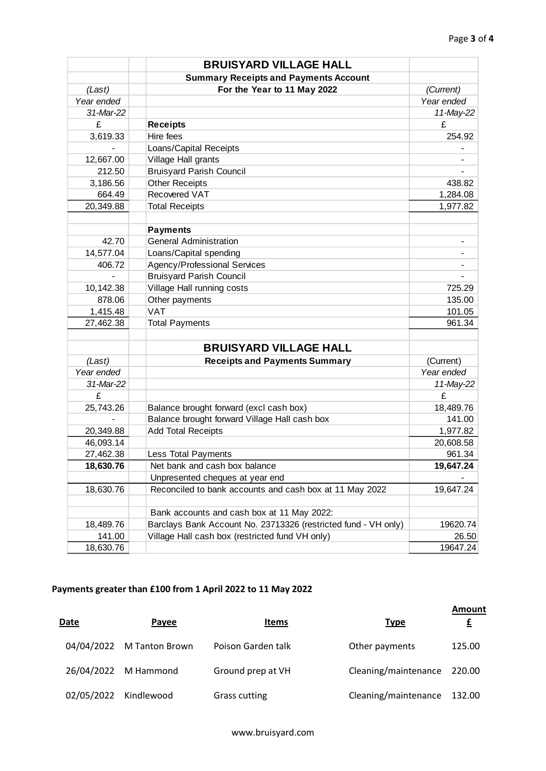|            | <b>BRUISYARD VILLAGE HALL</b>                                  |            |  |
|------------|----------------------------------------------------------------|------------|--|
|            | <b>Summary Receipts and Payments Account</b>                   |            |  |
| (Last)     | For the Year to 11 May 2022                                    | (Current)  |  |
| Year ended |                                                                | Year ended |  |
| 31-Mar-22  |                                                                | 11-May-22  |  |
| £          | <b>Receipts</b>                                                | £          |  |
| 3,619.33   | Hire fees                                                      | 254.92     |  |
|            | Loans/Capital Receipts                                         |            |  |
| 12,667.00  | Village Hall grants                                            |            |  |
| 212.50     | <b>Bruisyard Parish Council</b>                                |            |  |
| 3,186.56   | <b>Other Receipts</b>                                          | 438.82     |  |
| 664.49     | Recovered VAT<br>1,284.08                                      |            |  |
| 20,349.88  | <b>Total Receipts</b>                                          | 1,977.82   |  |
|            |                                                                |            |  |
|            | <b>Payments</b>                                                |            |  |
| 42.70      | <b>General Administration</b>                                  |            |  |
| 14,577.04  | Loans/Capital spending                                         |            |  |
| 406.72     | Agency/Professional Services                                   |            |  |
|            | <b>Bruisyard Parish Council</b>                                |            |  |
| 10,142.38  | Village Hall running costs                                     | 725.29     |  |
| 878.06     | Other payments                                                 | 135.00     |  |
| 1,415.48   | <b>VAT</b>                                                     | 101.05     |  |
| 27,462.38  | <b>Total Payments</b>                                          | 961.34     |  |
|            |                                                                |            |  |
|            | <b>BRUISYARD VILLAGE HALL</b>                                  |            |  |
| (Last)     | <b>Receipts and Payments Summary</b>                           | (Current)  |  |
| Year ended |                                                                | Year ended |  |
| 31-Mar-22  |                                                                | 11-May-22  |  |
| £          |                                                                | £          |  |
| 25,743.26  | Balance brought forward (excl cash box)                        | 18,489.76  |  |
|            | Balance brought forward Village Hall cash box                  | 141.00     |  |
| 20,349.88  | <b>Add Total Receipts</b>                                      | 1,977.82   |  |
| 46,093.14  |                                                                | 20,608.58  |  |
| 27,462.38  | <b>Less Total Payments</b>                                     | 961.34     |  |
| 18,630.76  | Net bank and cash box balance                                  | 19,647.24  |  |
|            | Unpresented cheques at year end                                |            |  |
| 18,630.76  | Reconciled to bank accounts and cash box at 11 May 2022        | 19,647.24  |  |
|            | Bank accounts and cash box at 11 May 2022:                     |            |  |
| 18,489.76  | Barclays Bank Account No. 23713326 (restricted fund - VH only) | 19620.74   |  |
|            | Village Hall cash box (restricted fund VH only)                |            |  |
| 141.00     |                                                                | 26.50      |  |
| 18,630.76  |                                                                | 19647.24   |  |

# **Payments greater than £100 from 1 April 2022 to 11 May 2022**

| <b>Date</b> | Payee          | <b>Items</b>         | <u>Type</u>          | Amount<br>$\mathbf{E}$ |
|-------------|----------------|----------------------|----------------------|------------------------|
| 04/04/2022  | M Tanton Brown | Poison Garden talk   | Other payments       | 125.00                 |
| 26/04/2022  | M Hammond      | Ground prep at VH    | Cleaning/maintenance | 220.00                 |
| 02/05/2022  | Kindlewood     | <b>Grass cutting</b> | Cleaning/maintenance | 132.00                 |